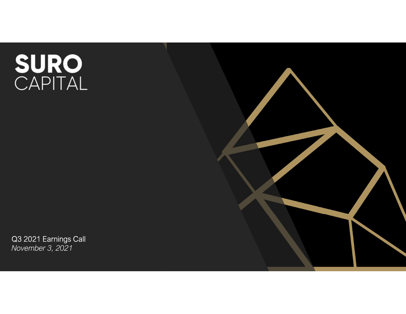# SURO<br>CAPITAL

Q3 2021 Earnings Call November 3, 2021

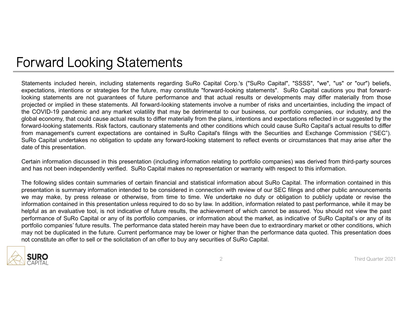### Forward Looking Statements

Statements included herein, including statements regarding SuRo Capital Corp.'s ("SuRo Capital", "SSSS", "we", "us" or "our") beliefs, expectations, intentions or strategies for the future, may constitute "forward-looking Fortward Looking Statements including statements regarding SuRo Capital Corp.'s ("SuRo Capital", "SSSS", "we", "us" or "our") beliefs.<br>expectations, intentions or strategies for the future, may constitute "forward-looking Looking statements are not guarantees of the future performance and that actual results. The capital cautions yie were not guarantees of the future performance and that actual results. Sure Capital cautions you that forwar For Ward Looking Statements, including statements regarding SuRo Capital Corp.'s ("SuRo Capital", "SSSS", "we", "us" or "our") beliefs,<br>expectations, intentions or stategies for the future, may constitute "forward-looking TOTWATO LOOKING Statements regarding sure Capital Corp.'s ("SuRo Capital", "SSSS", "we", "us" or "our") beliefs, expectations, intentions or strategies for the future, may constitute "forward-looking statements". SuRo Capi FOTWATC LOOKING Statements regarding sure Capital Corp.'s ("SurRo Capital", "SSSS", "we", "us" or "our") beliefs, such could cause actual results to differ material of the functions of statements are not garantes of future Forward-looking statements. Risk factors, cautionary statements for the forward-looking statements". SSRS", "we", "us" or "our") beliefs, expectations, intentions or strategies for the future, may constitute "forward-looki For Ward Looking Statements including statements regarding SuRo Capital Corp.'s ("SuRo Capital", "SSSS", "we", "us" or "our") beliefs,<br>expectations, intentions or strategies for the future, may constitute "forward-looking For Ward Looking statements included herein, including statements regarding SuRo Capital Corp.'s ("SuRo Capital", "SSSS", "we", "us" or "our") beliefs, expectations, intentions or strategies for the future, may constitute **COTWATC LOOKING Statements**<br> **COTWATC LOOKING Statements** regarding SuRo Capital<br>
expectations, intentions or strategies for the future, may constitute "forward<br>
boxiding statements are not guarantees of future performanc COTWATION LOOKING Statements include are contained for Capital Corp.'s ("SuRo Capital", "SSSS", "we", "us" or "our") beliefs.<br>Statements included herein, including statements regarding SuRo Capital Corp.'s ("SuRo Capital", For Warrel Looking Statements regarding sure capital Corp.'s ("SuRo Capital", "SSSS", "we", "us" or "our") beliefs.<br>Statements included herein, including statements regarding SuRo Capital Corp.'s ("SuRo Capital", "SSSS", " For Ward Looking Statements regarding sure capital Corp.'s ("Sure Capital", "SSSS", "we", "us" or "our") beliefs, expectations, interlucing sure contained regarding SuRo Capital Corp.'s ("SuRo Capital", "SSSS", "we", "us" FOTWATIO LOOKING Statements included herein, including statements regarding SuRo Capital Corp.'s ("SuRo Capital", "SSSS", "we", "us" or "our") beliefs, expectations, intentions or strategies for the future, may constitute UT WATHER Statements included herein, including statements regarding SuRo Capital Corp.'s ("SuRo Capital", "SSSS", "we", "us" or "our") beliefs,<br>expectations, interluding statements regarding SuRo Capital Corp.'s ("SuRo Ca Statements included herein, including statements regarding SuRo Capital Corp.'s ("SuRo Capital", "SSSS", "we", "us" or "our") beliefs,<br>expectations, intentions or strategies for the future, may constitute "forward-looking Statements included herein, including statements regarding SuRo Capital Corp's ("SuRo Capital", "SSSS", "we", "us" or "our") beliefs, microlinons, intentions or strategies for the future, may constitute "foward-dooking sta become the method in this method of the fultre, may constitute "foward-ooking statements". SuRo Capital cautions you that forward-<br>projected or implied in these statements are future performance and that actual results or

by compute the minimal controllo companies of the match with the stated of minimal companies. All formation in the properties are not positive in the performance and that actual results of evelopments may differ materially mount a constrained in this presentent is and when the completed in the future. The performance of the completed in the future completed in the setted in the setted in the completed in the setted in the setted in the sette notion-online and the solution and the solution of the solicitation of an offer to share of SuRo Capital. This presentation of the SuRO Capital encompasses and product where the COVID-19 partier and any market volatility t

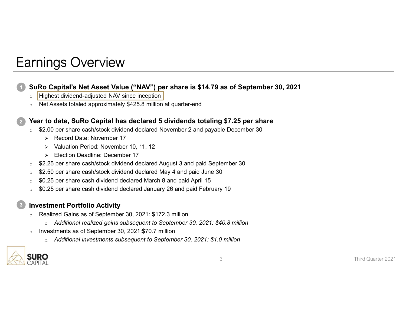# Earnings Overview

# • SuRo Capital's Net Asset Value ("NAV") per share is \$14.79 as of September 30, 2021<br>
• Highest dividend-adjusted NAV since inception of the May since inception of Net Assets totaled approximately \$425.8 million at quarte **Earnings Overview**<br>
• SuRo Capital's Net Asset Value ("NAV") per share is \$14.79 as of September 30, 2021<br>
• Highest dividend-adjusted NN since inception<br>
• Net Assets totaled approximately \$425.8 million at quarter-end<br> Sometrical Control Control Control Control Control Control Control Control Control Control Control Control Control of the Seets totaled approximately \$425.8 million at quarter-end<br>to date, SuRo Capital has declared 5 divi ingly and the Mass of September 30, 2021<br>
Valuation Period: November 10, 2021<br>
September 30, 2021<br>
September 30, 2021<br>
September 30, 2021<br>
Assets totaled approximately \$425.8 million at quarter-end<br>
to date, SuRo Capital **SURO Capital's Net Asset Value ("NAV") per share is \$14.79 as of September 30, 2021<br>
bighets dividend-adjusted NAV since inception<br>
on MeX sizes to lated approximately \$425.8 million at quarter-end<br>
Year to date, SURO Ca** SURO Capital's Net Asset Value ("NAV") per share is \$14.79 as of September 30, 2021<br>
∴ [Highest dividend-adjusted NAV since inception]<br>
∴ Net Assets totaled approximately \$425.8 million at quarter-end<br>
<br>
Year to date, Su SuRo Capital's Net Asset Value ("NAV") per share is \$14.79 as of September 30, 2021

- 
- 

#### Year to date, SuRo Capital has declared 5 dividends totaling \$7.25 per share

- -
	-
	-
- 
- 
- 
- 

- -
- -



3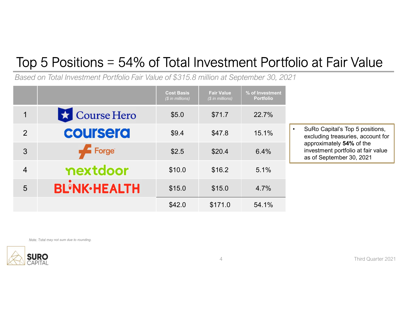# Top 5 Positions = 54% of Total Investment Portfolio at Fair Value

|                 |                                                                                         |                                              |                                       |                                     | Top 5 Positions = 54% of Total Investment Portfolio at Fair Value                          |
|-----------------|-----------------------------------------------------------------------------------------|----------------------------------------------|---------------------------------------|-------------------------------------|--------------------------------------------------------------------------------------------|
|                 | Based on Total Investment Portfolio Fair Value of \$315.8 million at September 30, 2021 |                                              |                                       |                                     |                                                                                            |
|                 |                                                                                         | <b>Cost Basis</b><br>$\sqrt{\$$ in millions) | <b>Fair Value</b><br>$$$ in millions) | % of Investment<br><b>Portfolio</b> |                                                                                            |
| 1               | $\star$ Course Hero                                                                     | \$5.0                                        | \$71.7                                | 22.7%                               |                                                                                            |
| 2               | coursera                                                                                | \$9.4                                        | \$47.8                                | 15.1%                               | SuRo Capital's Top 5 positions,<br>$\bullet$<br>excluding treasuries, account for          |
|                 | $\sqrt{2}$ Forge                                                                        | \$2.5                                        | \$20.4                                | 6.4%                                | approximately 54% of the<br>investment portfolio at fair value<br>as of September 30, 2021 |
| 3               |                                                                                         |                                              |                                       |                                     |                                                                                            |
| 4               | nextdoor                                                                                | \$10.0                                       | \$16.2                                | 5.1%                                |                                                                                            |
| $5\phantom{.0}$ | <b>BL'NK-HEALTH</b>                                                                     | \$15.0                                       | \$15.0                                | 4.7%                                |                                                                                            |

Note: Total may not sum due to rounding.

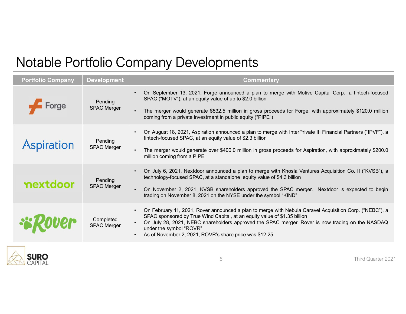# Notable Portfolio Company Developments

|                          |                                 | Notable Portfolio Company Developments                                                                                                                                                                                                                                                                                                                                              |
|--------------------------|---------------------------------|-------------------------------------------------------------------------------------------------------------------------------------------------------------------------------------------------------------------------------------------------------------------------------------------------------------------------------------------------------------------------------------|
| <b>Portfolio Company</b> | <b>Development</b>              | <b>Commentary</b>                                                                                                                                                                                                                                                                                                                                                                   |
| Forge                    | Pending<br><b>SPAC Merger</b>   | On September 13, 2021, Forge announced a plan to merge with Motive Capital Corp., a fintech-focused<br>$\bullet$<br>SPAC ("MOTV"), at an equity value of up to \$2.0 billion<br>• The merger would generate \$532.5 million in gross proceeds for Forge, with approximately \$120.0 million<br>coming from a private investment in public equity ("PIPE")                           |
| <b>Aspiration</b>        | Pending<br><b>SPAC Merger</b>   | On August 18, 2021, Aspiration announced a plan to merge with InterPrivate III Financial Partners ("IPVF"), a<br>fintech-focused SPAC, at an equity value of \$2.3 billion<br>• The merger would generate over \$400.0 million in gross proceeds for Aspiration, with approximately \$200.0<br>million coming from a PIPE                                                           |
| nextdoor                 | Pending<br><b>SPAC Merger</b>   | • On July 6, 2021, Nextdoor announced a plan to merge with Khosla Ventures Acquisition Co. II ("KVSB"), a<br>technology-focused SPAC, at a standalone equity value of \$4.3 billion<br>On November 2, 2021, KVSB shareholders approved the SPAC merger. Nextdoor is expected to begin<br>trading on November 8, 2021 on the NYSE under the symbol "KIND"                            |
|                          | Completed<br><b>SPAC Merger</b> | • On February 11, 2021, Rover announced a plan to merge with Nebula Caravel Acquisition Corp. ("NEBC"), a<br>SPAC sponsored by True Wind Capital, at an equity value of \$1.35 billion<br>• On July 28, 2021, NEBC shareholders approved the SPAC merger. Rover is now trading on the NASDAQ<br>under the symbol "ROVR"<br>• As of November 2, 2021, ROVR's share price was \$12.25 |
| <b>SURO</b><br>CAPITAL   |                                 | 5<br>Third Quarter 2021                                                                                                                                                                                                                                                                                                                                                             |

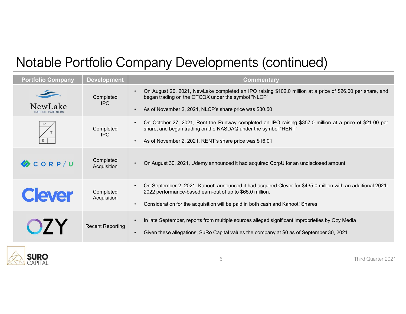# Notable Portfolio Company Developments (continued)

|                             |                          | Notable Portfolio Company Developments (continued)                                                                                                                                                                                                          |
|-----------------------------|--------------------------|-------------------------------------------------------------------------------------------------------------------------------------------------------------------------------------------------------------------------------------------------------------|
| <b>Portfolio Company</b>    | <b>Development</b>       | <b>Commentary</b>                                                                                                                                                                                                                                           |
|                             | Completed<br><b>IPO</b>  | • On August 20, 2021, NewLake completed an IPO raising \$102.0 million at a price of \$26.00 per share, and<br>began trading on the OTCQX under the symbol "NLCP"                                                                                           |
| NewLake<br>CAPITAL PARTNERS |                          | • As of November 2, 2021, NLCP's share price was \$30.50                                                                                                                                                                                                    |
|                             | Completed<br><b>IPO</b>  | • On October 27, 2021, Rent the Runway completed an IPO raising \$357.0 million at a price of \$21.00 per<br>share, and began trading on the NASDAQ under the symbol "RENT"                                                                                 |
|                             |                          | • As of November 2, 2021, RENT's share price was \$16.01                                                                                                                                                                                                    |
| CORP/U                      | Completed<br>Acquisition | • On August 30, 2021, Udemy announced it had acquired CorpU for an undisclosed amount                                                                                                                                                                       |
| <b>Clever</b>               | Completed<br>Acquisition | On September 2, 2021, Kahoot! announced it had acquired Clever for \$435.0 million with an additional 2021-<br>2022 performance-based earn-out of up to \$65.0 million.<br>• Consideration for the acquisition will be paid in both cash and Kahoot! Shares |
|                             | <b>Recent Reporting</b>  | In late September, reports from multiple sources alleged significant improprieties by Ozy Media<br>$\bullet$                                                                                                                                                |
|                             |                          | • Given these allegations, SuRo Capital values the company at \$0 as of September 30, 2021                                                                                                                                                                  |
| <b>SURO</b><br>CAPITAL      |                          |                                                                                                                                                                                                                                                             |

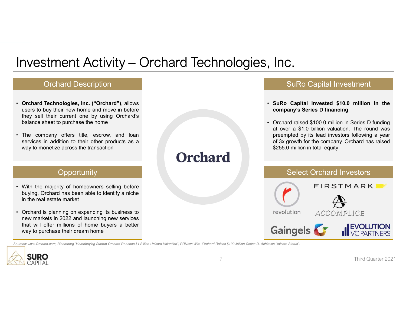### Investment Activity – Orchard Technologies, Inc. Investment Activity – Orchard Technologies, Inc.<br>
Orchard Description<br>
• Orchard Technologies, Inc. ("Orchard"), allows<br>
users to buy their new home and move in before<br>
belse their current one by using Orchard's<br>
belse sel Nestment Activity – Orchard Technologies, Inc.<br>
Orchard Description<br>
Orchard Technologies, Inc. ("Orchard"), allows<br>
users to buy their new home and move in before<br>
they sell their current one by using Orchard's<br>
Salance s The company offers title, escrow, and loan wave to mondize across the transaction<br>where the current one by using Orchard's<br>balance sheet to purchase the home<br>balance sheet to purchase the home<br>wave to mondize across the tr **NVESTMENT Activity — Orchard Technologies**<br>
Orchard Description<br>
Orchard Technologies, Inc. ("Orchard"), allows<br>
weers to buy their new home and move in before<br>
balance sheet to purchase the home<br>
balance sheet to purchas Investment Activity — Orchard Technologies, Inc.<br>
Crchard Description<br>
• Orchard Technologies, Inc. ("Orchard"), allows<br>
uses to buy their new home and move in before<br>
they sell their current one by using Orchard's<br>
• The Services in addition to their determined by the transaction of the transaction of the transaction of the company offers title, escrew, and loan weak to purchase the home and move in before the company offers title, escrew, **NVEStment Activity — Orchard Technologie**<br> **Orchard Description**<br> **Orchard Technologies**, Inc. ("Orchard"), allows<br>
users to buy their new home and move in before<br>
they sell their current one by using Orchard's<br>
balance s Orchard Description **INVESTMENT Activity – Orchard Technologies, Inc.**<br>  $\frac{6}{100}$ <br>  $\frac{6}{100}$ <br>  $\frac{1}{100}$ <br>  $\frac{1}{100}$ <br>  $\frac{1}{100}$ <br>  $\frac{1}{100}$ <br>  $\frac{1}{100}$ <br>  $\frac{1}{100}$ <br>  $\frac{1}{100}$ <br>  $\frac{1}{100}$ <br>  $\frac{1}{100}$ <br>  $\frac{1}{100}$ <br>  $\frac{1}{100}$ <br> **DEVERTIMENT ACTIVITY — OFChard Lechnologies, Inc.**<br>
Orchard Description<br>
Such are the individual means were able to by using orchard's<br>
busines to buy their real move in before<br>
balance sheet to purchase the home<br>
balanc **INTERT ACTIVITY COUNTY OF A CONTRANT COUNTY OF A CONTRANT THE CONTRANT THE CONTRANT OF THE CONTRANT OR THE CONTRANT THE COMPANY of The CONTRANT COUNTY OF THE CONTRANT COUNTY OF THE CONTRANT COUNTY OF THE CONTRANT COUNTY O** • Orchard Technologies, Inc. ("Orchard"), allows<br>
users to buy their new home and move in before<br>
their current one by using Orchard's<br>
balance sheet to purchase the home<br>
balance sheet to purchase the home<br>
way to moneti **Orchard Technologies, Inc. ("Orchard")**, allows<br>they sell their new home and move in before<br>they sell their current one by using Orchard's<br>balance sheet to purchase the home<br>balance sheet to purchase the home<br>of 3x servic Christman Technologies, Inc. ("Orchard"), allows<br>
Susers to buy their new home and move in before<br>
they sell their current one by using Orchard's<br>
The company offers title, escrow, and loan<br>
services in addition to their o **Orchard Technologies, Inc. ("Orchard"), allows**<br>
users to buy their new home and move in before<br>
they sell their current one by using Orchard's<br>
balance sheet to purchase the home<br>
The company offers title, escrow, and lo **Opportunity SURO Capital Investment<br>• SURO Capital invested \$10.0 million in the<br>• Crchard raised \$100.0 million in Series D funding<br>• Orchard raised \$100.0 million in Series D funding<br>• at over a \$1.0 billion valuation. The round wa COMPAND COMPAND SURO CAPTED FORMS CAPTED SURFER**<br>
SURO Capital invested \$10.0 million in the<br>
company's Series D financing<br>
Orchard raised \$100.0 million in Series D funding<br>
at over a \$1.0 billion valuation. The round wa **COMBIG REVENTION**<br>• SuRo Capital Investment<br>• SuRo Capital invested \$10.0 million in the<br>company's Series D financing<br>• Orchard raised \$100.0 million in Series D funding<br>at over a \$1.0 billion valuation. The round was<br>pre **COMBO CERT CONTROM CONTROM CONTROM CONTROM CONTROM CONTROM CONTROM CONTROM CONTROM CONTROM AND A SUBSEM SUBSEM SUBSEM SUBSEM SUBSEM SUBSEM SUBSEM SUBSEM SUBSEM SUBSEM SUBSEM SUBSEM SUBSEM SUBSEM SUBSEM SUBSEM SUBSEM SUBSE PREET SET ASSET AND CONTROVER SURG CAPTED SURG CAPTED SURFORMAT SPRESS D FINANCIPY SPRESS D FUNDITY OF A STATED FOR A SURFORM AND A preempted by its lead investors following a year of 3x growth for the company. Orchard ha SuRo Capital Investment<br>
SuRo Capital invested \$10.0 million in the<br>
company's Series D financing<br>
Orchard raised \$100.0 million in Series D funding<br>
at over a \$1.0 billion valuation. The round was<br>
prempted by its lead i SURO Capital Investment**<br>
SuRo Capital Investment<br>
SuRo Capital invested \$10.0 million in the<br>
company's Series D financing<br>
Orchard raised \$100.0 million in Series D funding<br>
at over a \$1.0 billion valuation. The round w SuRo Capital Investment Select Orchard Investors Sources: www.orchard.com, Bloomberg The Control or Character Construction Construction Construction Construction Construction Construction Construction Construction Construction Construction Construction Construction Const

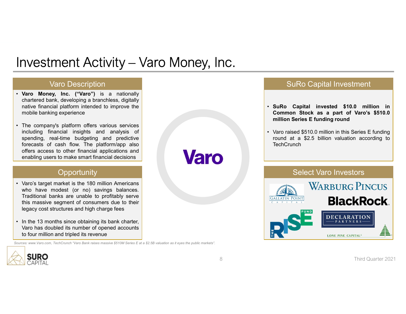# Investment Activity – Varo Money, Inc.<br>
Varo Description<br>
• Varo Money, Inc. ("Varo") is a nationally<br>
chated bank, developing a branchless, digitally<br>
native financial platform intended to improve the<br>
• The company's pla **Example 11 Activity — Varo Money, Inc.**<br>
Varo Description<br>
Varo Money, Inc.<br>
Varo Money, Inc.<br>
Chartered bank, developing a branchless, digitally<br>
chartered bank, developing a branchless, digitally<br>
The company's platform NET Activity — Varo Money, Inc.<br>
Varo Description<br>
Varo Money, Inc. ("Varo") is a nationally<br>
chattered bank, developing a branchess, digitally<br>
mater financial platform intended to improve the<br>
mobile banking experience<br> **NVESTMENT Activity — Varo Money, Inc.**<br>Varo Description<br>Varo Money, Inc. ("Varo") is a nationally<br>chartered bank, developing a branchless, digitally<br>native financial platform intended to improve the<br>mobile banking experie

#### Varo Description

- 
- $\begin{tabular}{|l|l|} \hline &\multicolumn{1}{|l|}{} \hline \multicolumn{1}{|l|}{} \hline \multicolumn{1}{|l|}{} \hline \multicolumn{1}{|l|}{} \hline \multicolumn{1}{|l|}{} \hline \multicolumn{1}{|l|}{} \hline \multicolumn{1}{|l|}{} \hline \multicolumn{1}{|l|}{} \hline \multicolumn{1}{|l|}{} \hline \multicolumn{1}{|l|}{} \hline \multicolumn{1}{|l|}{} \hline \multicolumn{1}{|l|}{} \hline \multicolumn{1}{|l|}{} \hline \multicolumn{1}{|l$ **INVESTMENT Activity — Varo Money, Inc.**<br>
Varo Description<br>
Yaro Description<br>
Achieve Many, the ("Varo") is a nationally<br>
Achieve Many denotes and analysis of the company's platform inference<br>
The company's platform offers **Spending Activity – Varo Money, Inc.**<br>
Varo Description<br>
Varo Description<br>
Marketed bank, developing a branchess, digitally<br>
chattered bank, developing a branchess, digitally<br>
mobile banking experience<br>
The company's plat The content of content of content of content of content of content of content of content of content of content<br>
Marco Money, Inc. ("Varo") is a nationally<br>
chatter of cash for content of content of content of content of co **Offering and Schematical Activity - Varo Money, Inc.**<br>
Varo Money, Inc. ("Varo") is a nationally<br>
Charlered bank, developing a branchless, digitally<br>
mobile banking experience<br>
The company's platform offers various servic **Example 19 According to the Constrainer of the Constrainer of the Constrainer of the Constrainer of bank, developing a branchists, digitally chattered bank, developing a branchists, angitally provide to improve the constr Investment Activity — Varo Money, Inc.**<br>
Varo Description<br>
• Varo Money, Inc. ("Varo") is a nationally<br>
characted bank, developing a branchess, digitality<br>
mobile banking experience<br>
• The company's platform offers vario **Exament Activity — Varo Money, Inc.**<br>
Varo Money, Inc. ("Varo") is a nationally<br>
othered balance modeling a branches. signalized<br>
mative financial platform intended to improve the<br>
modeling financial insights and analysis TVESTITIEFITE ACTIVITY - Valid IVIOITEY, TITC.<br>
Vario Description<br>
Nance Money, Inc. ("Varo") is a nationally<br>
chartered bank, developing a branchless, digitally<br>
mobile banking experience<br>
mobile to anking experience<br>
The Vario Description<br>
Vario Money, Inc. ("Varo") is a nationally<br>
chartered bank, developing a branchless, digitally<br>
mative financial pathern intended to improve the<br>
simultion Second intended in the pathern offers various s Vario Description<br>
Vario Money, Inc. ("Vario") is a nationally<br>
chattered bank, developing a branchless, digitally<br>
mather financial paid and high charge fees with a significant content of the mobile banking experience<br>
Th • Varo Money, Inc. ("Varo") is a nationally<br>
chartered bank, developing a brancheles, digitally<br>
mative financial platform intended to improve the<br>
mobile banking experience<br>
The company's platform offers various services Varo model and pathodoxic Varo Basic and Controlling in the Controlling of the material pathod is the model of the company's platform offers various services including financial insights and analysis of the company's platf Charlesto Dannic, developing a branchieses, duydang branchies, duydang financial planform intended to improve the<br>mobile banking experience<br>to spending, real-time budgeting and predictive<br>forecasts of cash flow. The platfo

#### **Opportunity**

- 
- 

Sources: www.Varo.com, TechCrunch "Varo Bank raises massive \$510M Series E at a \$2.5B valuation as it eyes the public markets".

#### SuRo Capital Investment

- SuRo Capital Investment<br>• SuRo Capital invested \$10.0 million in<br>• Common Stock as a part of Varo's \$510.0<br>• Varo raised \$510.0 million in this Series E funding<br>• Varo raised \$510.0 million in this Series E funding<br>• roun SuRo Capital Investment<br>
SuRo Capital invested \$10.0 million in<br>
Common Stock as a part of Varo's \$510.0<br>
million Series E funding round<br>
Varo raised \$510.0 million in this Series E funding<br>
round at a \$2.5 billion valuati
- SuRo Capital Investment<br>SuRo Capital invested \$10.0 million in<br>Common Stock as a part of Varo's \$510.0<br>million Series E funding round<br>Varo raised \$510.0 million in this Series E funding<br>round at a \$2.5 billion valuation ac SuRo Capital Investment<br>• SuRo Capital invested \$10.0 million in<br>Common Stock as a part of Varo's \$510.0<br>million Series E funding round<br>• Varo raised \$510.0 million in this Series E funding<br>round at a \$2.5 billion valuatio SuRo Capital Investment<br>
SuRo Capital invested \$10.0 million in<br>
Common Stock as a part of Varo's \$510.0<br>
million Series E funding round<br>
Varo raised \$510.0 million in this Series E funding<br>
Travel at a \$2.5 billion valuat **TechCrunch**



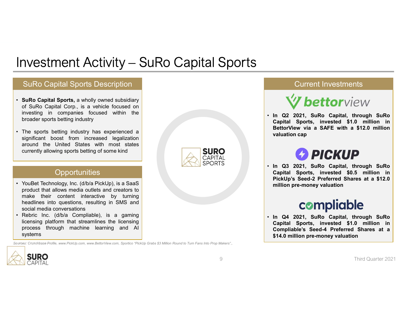# Investment Activity – SuRo Capital Sports<br>SuRo Capital Sports Description<br>All Sources Lines Investment Activity – SuRo Capital Sports<br>
SuRo Capital Sports, a wholly owned subsidiary<br>
of SuRo Capital Sports, a wholly owned subsidiary<br>
of SuRo Capital Corp., is a vehicle focused on<br>
investing in companies focused w **NVEStment Activity — SuRo Capital Sports**<br>
SuRo Capital Sports<br>
SuRo Capital Sports<br>
of SuRo Capital Corp., is a vehicle focused on<br>
of SuRo Capital Corp., is a vehicle focused on<br>
Investing in companies focused within th **INVESTMENT Activity — SuRo Capital Sports**<br> **SuRo Capital Sports, a wholly owned subsidiary**<br> **SuRo Capital Sports, a wholly owned subsidiary**<br>
investing in companies focused within the<br>
investing in companies focused wit **hroader School Surform (School Surform Capital Sports betting industry)**<br>
Surfor Capital Sports bescription<br>
Surfor Capital Sports, is a wholly owned subsidiary<br>
of surfor Capital Corp., is a vericle focused on<br>
divisesti **Investment Activity – SuRo Capital Sports**<br> **SuRo Capital Sports**<br> **SuRo Capital Sports**<br> **SuRo Capital Corp.** is a whelly owned subsidiary<br>
mesting in companies focused with the<br>
broader sports betting industry<br>
the spo **SURO CAPITAL CONSUMBER CONSUMIST AND CAPITAL CONSUMIST CONSUMIST AND CAPITAL CONSUMIST AND CAPITAL CONSUMIST AND CAPITAL CONSUMIST AND CAPITAL CONSUMIST AND CAPITAL CONSUMIST AND CAPITAL CONSUMIST AND CAPITAL CONSUMIST AN EXERCIT NO SECUTE AND SECUTE AND SECUTE AND SECURE AND SECURE AND SECURE AND SECURE AND SERVICE AND SECURE AND SECURE AND SECURE AND SECURE AND SECURE AND SECURE AND SECURE AND SECURE AND SERVICE AND SECURE AND SERVICE AN TVEStment Activity – SuRo Capital Sports**<br>
SuRo Capital Sports<br>
SuRo Capital Sports<br>
SuRo Capital Sports, a wholly owned subsidiary<br>
Investing in companies focused within the<br>
broader sports betting industry<br>
broader spor

#### SuRo Capital Sports Description

- 
- 

#### **Opportunities**

- **INVESTMENT Activity SuRo Capital Sports**<br>
SuRo Capital Sports Description<br>
of SuRo Capital Corp, is a whelic focused on<br>
investing in companies focused with the<br>
broader sports betting industry<br>
are sports betting indu **TVEStment Activity - SuRo Capital Sports**<br>
SuRo Capital Sports<br>
SuRo Capital Sports, a wholly owned subsidiary<br>
of SuRo Capital Sorp.<br>
In og 2022<br>
of SuRo Capital Corp., is a vehicle focused on<br>
Invasting industry has ex TVESUTIEFITE ACTIVITY — SURO Capital Sports Description<br>
SuRo Capital Sports, a wholly owned subsidiary<br>
Investing in companies focused within the<br>
broader sports betting industry<br>
investing in companies focused with met<br> SuRo Capital Sports Description<br>
SuRo Capital Sports, a whilly owned subsidiary<br>
of SuRo Capital Corp., is a vehicle focused on<br>
Investing industry<br>
In a 2 22<br>
The sports betting industry has experienced a<br>
significant boo SuRo Capital Sports Description<br>
SuRo Capital Sports, a wholly owned subsidiary<br>
of SuRo Capital Corp., is a vehicle focused on<br>
investing in companies focused within the<br>
broader sports betting industry has experienced a<br> **SURO Capital Sports Description**<br>
• **SuRo Capital** Sports, a wholly owned subsidiary<br>
of SuRo Capital Corp, is a vehicle focused on<br>
the broader sports betting industry<br>
as experienced a<br>
significant boost from increased SuRo Capital Sports, a wholly owned subsidiary<br>of SuRo Capital Sopris, is a vehicle focused on<br>investing in companies focused within the<br>throader sports betting industry has experienced a<br>significant boost from increased l **SuRo Capital Sports, a** wholly owned subsidiary<br>
investing in companies focused within the<br>
broader sports betting industry<br>
machine learning industry<br>
and the United States with most states<br>
around the United States with Some crunch based and the more crunch of the more crunch and the more crunch and the more crunch and the more crunch and the more crunch and the more crunch and the more crunch and the more crunch and the more crunch and t
- systems



#### Current Investments

Current Investments<br> **Current Investments**<br>
• In Q2 2021, SuRo Capital, through SuRo<br>
Capital Sports, invested \$1.0 million in<br>
BettorView via a SAFE with a \$12.0 million<br>
valuation cap Current Investments<br>
Volto View<br>
In Q2 2021, SuRo Capital, through SuRo<br>
Capital Sports, invested \$1.0 million in<br>
BettorView via a SAFE with a \$12.0 million<br>
valuation cap<br>
DICVIID Current Investments<br> **Solution**<br>
In Q2 2021, SuRo Capital, through SuRo<br>
Capital Sports, invested \$1.0 million in<br>
BettorView via a SAFE with a \$12.0 million<br>
valuation cap<br> **PICKUP** Current Investments<br>
Volto Capital, through SuRo<br>
Capital Sports, invested \$1.0 million in<br>
BettorView via a SAFE with a \$12.0 million<br>
valuation cap<br>
Volto 2021. SuRo Capital, through SuRo Current Investments<br> **Current Investments**<br> **Capital Sports, invested \$1.0 million in**<br>
BettorView via a SAFE with a \$12.0 million<br>
valuation cap<br> **PICKUP**<br>
In Q3 2021, SuRo Capital, through SuRo<br>
Capital Sports, invested Current Investments<br>
Wettorview<br>
In Q2 2021, SuRo Capital, through SuRo<br>
Capital Sports, invested \$1.0 million in<br>
BettorView via a SAFE with a \$12.0 million<br>
valuation cap<br>
PICKUP<br>
In Q3 2021, SuRo Capital, through SuRo<br> Current Investments<br>
Volto Capital, through SuRo<br>
Capital Sports, invested \$1.0 million in<br>
BettorView via a SAFE with a \$12.0 million<br>
valuation cap<br>
Capital Sports, invested \$1.0 million<br>
Capital Sports, invested \$0.5 mi **Current Investments**<br> **Widtor View**<br>
In Q2 2021, SuRo Capital, through SuRo<br>
Capital Sports, invested \$1.0 million in<br>
BettorView via a SAFE with a \$12.0 million<br>
valuation cap<br> **PICKUP**<br>
In Q3 2021, SuRo Capital, through



**Example 12 2021, SuRo Capital, through SuRo Capital Sports, invested \$1.0 million in BettorView via a SAFE with a \$12.0 million valuation cap**<br> **Capital Sports, invested \$1.0 million in valuation cap**<br> **PICKUP**<br> **Capital Capital Sports, invested \$1.0 million in**<br>Capital Sports, invested \$1.0 million in<br>BettorView via a SAFE with a \$12.0 million invaluation cap<br>Manusian cap<br>Capital Sports, invested \$0.5 million in<br>PickUp's Seed-2 Preferred **Compliable**<br>
Capital Sports, invested \$1.0 million in<br>
BettorView via a SAFE with a \$12.0 million<br>
valuation cap<br> **PICKUP**<br>
In Q3 2021, SuRo Capital, through SuRo<br>
Capital Sports, invested \$0.5 million in<br>
PickUp's Seed-2 **EXECT VIEW**<br>
In Q2 2021, SuRo Capital, through SuRo<br>
Capital Sports, invested \$1.0 million in<br>
BettorView via a SAFE with a \$12.0 million<br>
valuation cap<br> **PICKUP**<br>
In Q3 2021, SuRo Capital, through SuRo<br>
Capital Sports, i

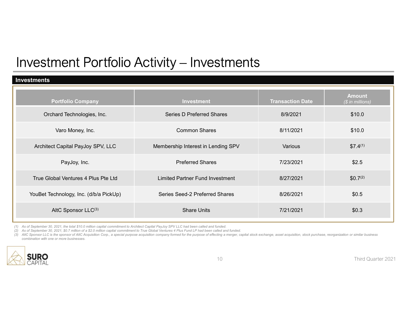#### Investments

| <b>Investment Portfolio Activity - Investments</b>                                                                                                                                                                                                                                                                                                                                                                                                                                                                                                                              |                                        |                         |                                   |
|---------------------------------------------------------------------------------------------------------------------------------------------------------------------------------------------------------------------------------------------------------------------------------------------------------------------------------------------------------------------------------------------------------------------------------------------------------------------------------------------------------------------------------------------------------------------------------|----------------------------------------|-------------------------|-----------------------------------|
| Investments                                                                                                                                                                                                                                                                                                                                                                                                                                                                                                                                                                     |                                        |                         |                                   |
| <b>Portfolio Company</b>                                                                                                                                                                                                                                                                                                                                                                                                                                                                                                                                                        | Investment                             | <b>Transaction Date</b> | <b>Amount</b><br>(\$ in millions) |
| Orchard Technologies, Inc.                                                                                                                                                                                                                                                                                                                                                                                                                                                                                                                                                      | <b>Series D Preferred Shares</b>       | 8/9/2021                | \$10.0                            |
| Varo Money, Inc.                                                                                                                                                                                                                                                                                                                                                                                                                                                                                                                                                                | <b>Common Shares</b>                   | 8/11/2021               | \$10.0                            |
| Architect Capital PayJoy SPV, LLC                                                                                                                                                                                                                                                                                                                                                                                                                                                                                                                                               | Membership Interest in Lending SPV     | Various                 | $$7.4^{(1)}$                      |
| PayJoy, Inc.                                                                                                                                                                                                                                                                                                                                                                                                                                                                                                                                                                    | <b>Preferred Shares</b>                | 7/23/2021               | \$2.5                             |
| True Global Ventures 4 Plus Pte Ltd                                                                                                                                                                                                                                                                                                                                                                                                                                                                                                                                             | <b>Limited Partner Fund Investment</b> | 8/27/2021               | \$0.7 <sup>(2)</sup>              |
|                                                                                                                                                                                                                                                                                                                                                                                                                                                                                                                                                                                 |                                        |                         | \$0.5                             |
| YouBet Technology, Inc. (d/b/a PickUp)                                                                                                                                                                                                                                                                                                                                                                                                                                                                                                                                          | Series Seed-2 Preferred Shares         | 8/26/2021               |                                   |
| AltC Sponsor LLC(3)                                                                                                                                                                                                                                                                                                                                                                                                                                                                                                                                                             | <b>Share Units</b>                     | 7/21/2021               | \$0.3                             |
| (1) As of September 30, 2021, the total \$10.0 million capital commitment to Architect Capital PayJoy SPV LLC had been called and funded.<br>(2) As of September 30, 2021, \$0.7 million of a \$2.0 million capital commitment to True Global Ventures 4 Plus Fund LP had been called and funded.<br>(3) AltC Sponsor LLC is the sponsor of AltC Acquisition Corp., a special purpose acquisition company formed for the purpose of effecting a merger, capital stock exchange, asset acquisition, stock purchase, reorganization o<br>combination with one or more businesses. |                                        |                         |                                   |

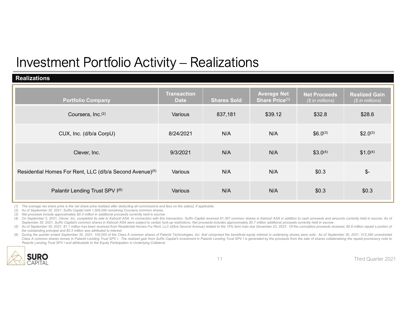#### Realizations

| <b>Investment Portfolio Activity - Realizations</b>                                                                                                                                                                                                                                                                                                                                                                                                                                                                                                                                                                                                                                                                                                                                                                                                                                                                                                                                                                                                                                                                                                                                                                                                                                                                                                                                                                                                                                                                                                                                  |                                   |                    |                                      |                                         |                                          |
|--------------------------------------------------------------------------------------------------------------------------------------------------------------------------------------------------------------------------------------------------------------------------------------------------------------------------------------------------------------------------------------------------------------------------------------------------------------------------------------------------------------------------------------------------------------------------------------------------------------------------------------------------------------------------------------------------------------------------------------------------------------------------------------------------------------------------------------------------------------------------------------------------------------------------------------------------------------------------------------------------------------------------------------------------------------------------------------------------------------------------------------------------------------------------------------------------------------------------------------------------------------------------------------------------------------------------------------------------------------------------------------------------------------------------------------------------------------------------------------------------------------------------------------------------------------------------------------|-----------------------------------|--------------------|--------------------------------------|-----------------------------------------|------------------------------------------|
| <b>Realizations</b>                                                                                                                                                                                                                                                                                                                                                                                                                                                                                                                                                                                                                                                                                                                                                                                                                                                                                                                                                                                                                                                                                                                                                                                                                                                                                                                                                                                                                                                                                                                                                                  |                                   |                    |                                      |                                         |                                          |
| <b>Portfolio Company</b>                                                                                                                                                                                                                                                                                                                                                                                                                                                                                                                                                                                                                                                                                                                                                                                                                                                                                                                                                                                                                                                                                                                                                                                                                                                                                                                                                                                                                                                                                                                                                             | <b>Transaction</b><br><b>Date</b> | <b>Shares Sold</b> | <b>Average Net</b><br>Share Price(1) | <b>Net Proceeds</b><br>(\$ in millions) | <b>Realized Gain</b><br>(\$ in millions) |
| Coursera, Inc. <sup>(2)</sup>                                                                                                                                                                                                                                                                                                                                                                                                                                                                                                                                                                                                                                                                                                                                                                                                                                                                                                                                                                                                                                                                                                                                                                                                                                                                                                                                                                                                                                                                                                                                                        | Various                           | 837,181            | \$39.12                              | \$32.8                                  | \$28.6                                   |
| CUX, Inc. (d/b/a CorpU)                                                                                                                                                                                                                                                                                                                                                                                                                                                                                                                                                                                                                                                                                                                                                                                                                                                                                                                                                                                                                                                                                                                                                                                                                                                                                                                                                                                                                                                                                                                                                              | 8/24/2021                         | N/A                | N/A                                  | $$6.0^{(3)}$$                           | $$2.0^{(3)}$                             |
| Clever, Inc.                                                                                                                                                                                                                                                                                                                                                                                                                                                                                                                                                                                                                                                                                                                                                                                                                                                                                                                                                                                                                                                                                                                                                                                                                                                                                                                                                                                                                                                                                                                                                                         | 9/3/2021                          | N/A                | N/A                                  | $$3.0^{(4)}$                            | $$1.0^{(4)}$                             |
| Residential Homes For Rent, LLC (d/b/a Second Avenue) <sup>(5)</sup>                                                                                                                                                                                                                                                                                                                                                                                                                                                                                                                                                                                                                                                                                                                                                                                                                                                                                                                                                                                                                                                                                                                                                                                                                                                                                                                                                                                                                                                                                                                 | Various                           | N/A                | N/A                                  | \$0.3\$                                 | $\mathcal{S}$ -                          |
| Palantir Lending Trust SPV I(6)                                                                                                                                                                                                                                                                                                                                                                                                                                                                                                                                                                                                                                                                                                                                                                                                                                                                                                                                                                                                                                                                                                                                                                                                                                                                                                                                                                                                                                                                                                                                                      | Various                           | N/A                | N/A                                  | \$0.3\$                                 | \$0.3                                    |
| (1) The average net share price is the net share price realized after deducting all commissions and fees on the sale(s), if applicable.<br>(2) As of September 30, 2021, SuRo Capital held 1,509,090 remaining Coursera common shares.<br>(3) Net proceeds include approximately \$0.3 million in additional proceeds currently held in escrow.<br>(4) On September 3, 2021, Clever, Inc. completed its sale to Kahoot! ASA. In connection with this transaction, SuRo Capital received 61,367 common shares in Kahoot! ASA in addition to cash proceeds and amounts currently he<br>September 30, 2021, SuRo Capital's common shares in Kahoot! ASA were subject to certain lock-up restrictions. Net proceeds includes approximately \$0.7 million additional proceeds currently held in escrow.<br>(5) As of September 30, 2021, \$1.1 million has been received from Residential Homes For Rent, LLC (d/b/a Second Avenue) related to the 15% term loan due December 23, 2023. Of the cumulative proceeds received, \$0.8 million<br>the outstanding principal and \$0.3 million was attributed to interest.<br>(6) During the quarter ended September 30, 2021, 100,000 of the Class A common shares of Palantir Technologies, Inc. that comprised the beneficial equity interest in underlying shares were sold. As of September 30, 2021, 5<br>Class A common shares remain in Palantir Lending Trust SPV I. The realized gain from SuRo Capital's investment in Palantir Lending Trust SPV I is generated by the proceeds from the sale of shares collateralizing the repaid |                                   |                    |                                      |                                         |                                          |
| Palantir Lending Trust SPV I and attributable to the Equity Participation in Underlying Collateral.                                                                                                                                                                                                                                                                                                                                                                                                                                                                                                                                                                                                                                                                                                                                                                                                                                                                                                                                                                                                                                                                                                                                                                                                                                                                                                                                                                                                                                                                                  |                                   |                    |                                      |                                         |                                          |

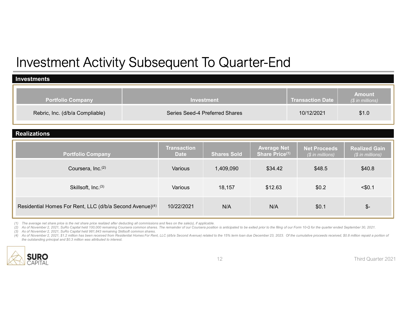# Investment Activity Subsequent To Quarter-End

| <b>Investment Activity Subsequent To Quarter-End</b>                                                                                                                                                                                                                                                                                                                                                                                                                                                                                                                                                                                                                                                                                                                                 |                                   |                                |                                      |                                         |                                          |  |  |
|--------------------------------------------------------------------------------------------------------------------------------------------------------------------------------------------------------------------------------------------------------------------------------------------------------------------------------------------------------------------------------------------------------------------------------------------------------------------------------------------------------------------------------------------------------------------------------------------------------------------------------------------------------------------------------------------------------------------------------------------------------------------------------------|-----------------------------------|--------------------------------|--------------------------------------|-----------------------------------------|------------------------------------------|--|--|
| <b>Investments</b>                                                                                                                                                                                                                                                                                                                                                                                                                                                                                                                                                                                                                                                                                                                                                                   |                                   |                                |                                      |                                         |                                          |  |  |
| <b>Portfolio Company</b>                                                                                                                                                                                                                                                                                                                                                                                                                                                                                                                                                                                                                                                                                                                                                             |                                   | Investment                     |                                      | <b>Transaction Date</b>                 | <b>Amount</b><br>(\$ in millions)        |  |  |
| Rebric, Inc. (d/b/a Compliable)                                                                                                                                                                                                                                                                                                                                                                                                                                                                                                                                                                                                                                                                                                                                                      |                                   | Series Seed-4 Preferred Shares |                                      | 10/12/2021                              | \$1.0                                    |  |  |
| <b>Realizations</b>                                                                                                                                                                                                                                                                                                                                                                                                                                                                                                                                                                                                                                                                                                                                                                  |                                   |                                |                                      |                                         |                                          |  |  |
| <b>Portfolio Company</b>                                                                                                                                                                                                                                                                                                                                                                                                                                                                                                                                                                                                                                                                                                                                                             | <b>Transaction</b><br><b>Date</b> | <b>Shares Sold</b>             | <b>Average Net</b><br>Share Price(1) | <b>Net Proceeds</b><br>(\$ in millions) | <b>Realized Gain</b><br>(\$ in millions) |  |  |
|                                                                                                                                                                                                                                                                                                                                                                                                                                                                                                                                                                                                                                                                                                                                                                                      |                                   |                                | \$34.42                              | \$48.5                                  | \$40.8\$                                 |  |  |
| Coursera, Inc. <sup>(2)</sup>                                                                                                                                                                                                                                                                                                                                                                                                                                                                                                                                                                                                                                                                                                                                                        | Various                           | 1,409,090                      |                                      |                                         |                                          |  |  |
| Skillsoft, Inc.(3)                                                                                                                                                                                                                                                                                                                                                                                                                                                                                                                                                                                                                                                                                                                                                                   | Various                           | 18,157                         | \$12.63                              | \$0.2                                   | $<$ \$0.1                                |  |  |
| Residential Homes For Rent, LLC (d/b/a Second Avenue) <sup>(4)</sup>                                                                                                                                                                                                                                                                                                                                                                                                                                                                                                                                                                                                                                                                                                                 | 10/22/2021                        | N/A                            | N/A                                  | \$0.1                                   | \$-                                      |  |  |
| (1) The average net share price is the net share price realized after deducting all commissions and fees on the sale(s), if applicable.<br>(2) As of November 2, 2021, SuRo Capital held 100,000 remaining Coursera common shares. The remainder of our Coursera position is anticipated to be exited prior to the filing of our Form 10-Q for the quarter ended Septembe<br>(3) As of November 2, 2021, SuRo Capital held 981,843 remaining Skillsoft common shares.<br>(4) As of November 2, 2021, \$1.2 million has been received from Residential Homes For Rent, LLC (d/b/a Second Avenue) related to the 15% term loan due December 23, 2023. Of the cumulative proceeds received, \$0.8 million re<br>the outstanding principal and \$0.3 million was attributed to interest. |                                   |                                |                                      |                                         |                                          |  |  |

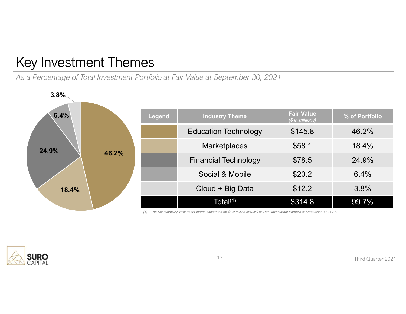# Key Investment Themes